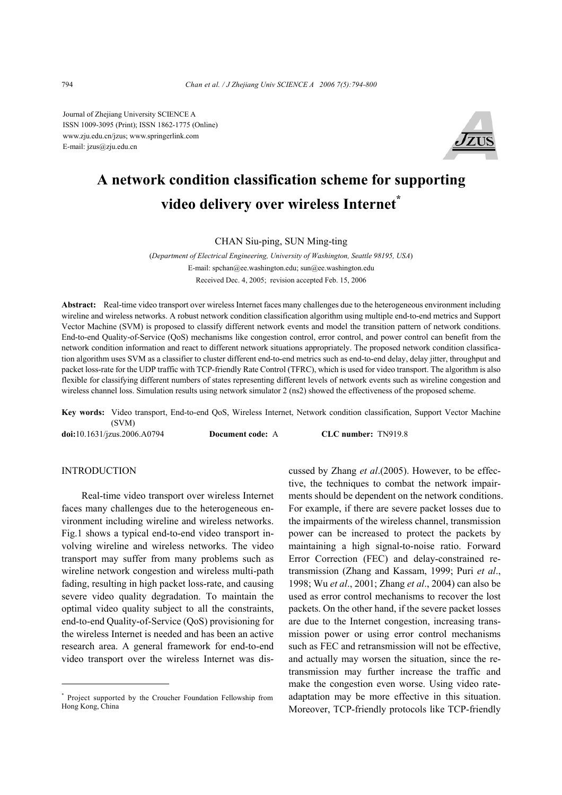Journal of Zhejiang University SCIENCE A ISSN 1009-3095 (Print); ISSN 1862-1775 (Online) www.zju.edu.cn/jzus; www.springerlink.com E-mail: jzus@zju.edu.cn



# **A network condition classification scheme for supporting video delivery over wireless Internet\***

CHAN Siu-ping, SUN Ming-ting

(*Department of Electrical Engineering, University of Washington, Seattle 98195, USA*) E-mail: spchan@ee.washington.edu; sun@ee.washington.edu Received Dec. 4, 2005; revision accepted Feb. 15, 2006

**Abstract:** Real-time video transport over wireless Internet faces many challenges due to the heterogeneous environment including wireline and wireless networks. A robust network condition classification algorithm using multiple end-to-end metrics and Support Vector Machine (SVM) is proposed to classify different network events and model the transition pattern of network conditions. End-to-end Quality-of-Service (QoS) mechanisms like congestion control, error control, and power control can benefit from the network condition information and react to different network situations appropriately. The proposed network condition classification algorithm uses SVM as a classifier to cluster different end-to-end metrics such as end-to-end delay, delay jitter, throughput and packet loss-rate for the UDP traffic with TCP-friendly Rate Control (TFRC), which is used for video transport. The algorithm is also flexible for classifying different numbers of states representing different levels of network events such as wireline congestion and wireless channel loss. Simulation results using network simulator 2 (ns2) showed the effectiveness of the proposed scheme.

**Key words:** Video transport, End-to-end QoS, Wireless Internet, Network condition classification, Support Vector Machine (SVM)

**doi:**10.1631/jzus.2006.A0794 **Document code:** A **CLC number:** TN919.8

# **INTRODUCTION**

Real-time video transport over wireless Internet faces many challenges due to the heterogeneous environment including wireline and wireless networks. Fig.1 shows a typical end-to-end video transport involving wireline and wireless networks. The video transport may suffer from many problems such as wireline network congestion and wireless multi-path fading, resulting in high packet loss-rate, and causing severe video quality degradation. To maintain the optimal video quality subject to all the constraints, end-to-end Quality-of-Service (QoS) provisioning for the wireless Internet is needed and has been an active research area. A general framework for end-to-end video transport over the wireless Internet was discussed by Zhang *et al*.(2005). However, to be effective, the techniques to combat the network impairments should be dependent on the network conditions. For example, if there are severe packet losses due to the impairments of the wireless channel, transmission power can be increased to protect the packets by maintaining a high signal-to-noise ratio. Forward Error Correction (FEC) and delay-constrained retransmission (Zhang and Kassam, 1999; Puri *et al*., 1998; Wu *et al*., 2001; Zhang *et al*., 2004) can also be used as error control mechanisms to recover the lost packets. On the other hand, if the severe packet losses are due to the Internet congestion, increasing transmission power or using error control mechanisms such as FEC and retransmission will not be effective, and actually may worsen the situation, since the retransmission may further increase the traffic and make the congestion even worse. Using video rateadaptation may be more effective in this situation. Moreover, TCP-friendly protocols like TCP-friendly

<sup>\*</sup> Project supported by the Croucher Foundation Fellowship from Hong Kong, China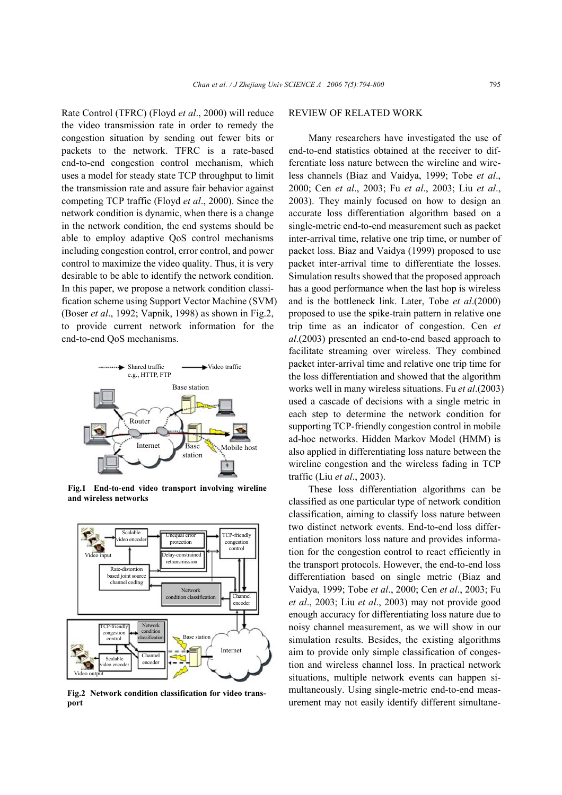Rate Control (TFRC) (Floyd *et al*., 2000) will reduce the video transmission rate in order to remedy the congestion situation by sending out fewer bits or packets to the network. TFRC is a rate-based end-to-end congestion control mechanism, which uses a model for steady state TCP throughput to limit the transmission rate and assure fair behavior against competing TCP traffic (Floyd *et al*., 2000). Since the network condition is dynamic, when there is a change in the network condition, the end systems should be able to employ adaptive QoS control mechanisms including congestion control, error control, and power control to maximize the video quality. Thus, it is very desirable to be able to identify the network condition. In this paper, we propose a network condition classification scheme using Support Vector Machine (SVM) (Boser *et al*., 1992; Vapnik, 1998) as shown in Fig.2, to provide current network information for the end-to-end QoS mechanisms.



**Fig.1 End-to-end video transport involving wireline and wireless networks** 



**Fig.2 Network condition classification for video transport** 

### REVIEW OF RELATED WORK

Many researchers have investigated the use of end-to-end statistics obtained at the receiver to differentiate loss nature between the wireline and wireless channels (Biaz and Vaidya, 1999; Tobe *et al*., 2000; Cen *et al*., 2003; Fu *et al*., 2003; Liu *et al*., 2003). They mainly focused on how to design an accurate loss differentiation algorithm based on a single-metric end-to-end measurement such as packet inter-arrival time, relative one trip time, or number of packet loss. Biaz and Vaidya (1999) proposed to use packet inter-arrival time to differentiate the losses. Simulation results showed that the proposed approach has a good performance when the last hop is wireless and is the bottleneck link. Later, Tobe *et al*.(2000) proposed to use the spike-train pattern in relative one trip time as an indicator of congestion. Cen *et al*.(2003) presented an end-to-end based approach to facilitate streaming over wireless. They combined packet inter-arrival time and relative one trip time for the loss differentiation and showed that the algorithm works well in many wireless situations. Fu *et al*.(2003) used a cascade of decisions with a single metric in each step to determine the network condition for supporting TCP-friendly congestion control in mobile ad-hoc networks. Hidden Markov Model (HMM) is also applied in differentiating loss nature between the wireline congestion and the wireless fading in TCP traffic (Liu *et al*., 2003).

These loss differentiation algorithms can be classified as one particular type of network condition classification, aiming to classify loss nature between two distinct network events. End-to-end loss differentiation monitors loss nature and provides information for the congestion control to react efficiently in the transport protocols. However, the end-to-end loss differentiation based on single metric (Biaz and Vaidya, 1999; Tobe *et al*., 2000; Cen *et al*., 2003; Fu *et al*., 2003; Liu *et al*., 2003) may not provide good enough accuracy for differentiating loss nature due to noisy channel measurement, as we will show in our simulation results. Besides, the existing algorithms aim to provide only simple classification of congestion and wireless channel loss. In practical network situations, multiple network events can happen simultaneously. Using single-metric end-to-end measurement may not easily identify different simultane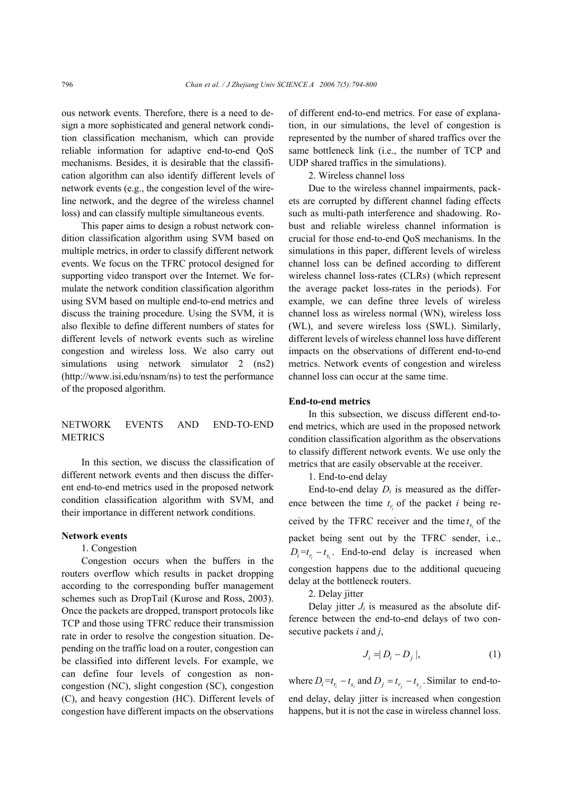ous network events. Therefore, there is a need to design a more sophisticated and general network condition classification mechanism, which can provide reliable information for adaptive end-to-end QoS mechanisms. Besides, it is desirable that the classification algorithm can also identify different levels of network events (e.g., the congestion level of the wireline network, and the degree of the wireless channel loss) and can classify multiple simultaneous events.

This paper aims to design a robust network condition classification algorithm using SVM based on multiple metrics, in order to classify different network events. We focus on the TFRC protocol designed for supporting video transport over the Internet. We formulate the network condition classification algorithm using SVM based on multiple end-to-end metrics and discuss the training procedure. Using the SVM, it is also flexible to define different numbers of states for different levels of network events such as wireline congestion and wireless loss. We also carry out simulations using network simulator 2 (ns2) (http://www.isi.edu/nsnam/ns) to test the performance of the proposed algorithm.

# NETWORK EVENTS AND END-TO-END METRICS

In this section, we discuss the classification of different network events and then discuss the different end-to-end metrics used in the proposed network condition classification algorithm with SVM, and their importance in different network conditions.

#### **Network events**

#### 1. Congestion

Congestion occurs when the buffers in the routers overflow which results in packet dropping according to the corresponding buffer management schemes such as DropTail (Kurose and Ross, 2003). Once the packets are dropped, transport protocols like TCP and those using TFRC reduce their transmission rate in order to resolve the congestion situation. Depending on the traffic load on a router, congestion can be classified into different levels. For example, we can define four levels of congestion as noncongestion (NC), slight congestion (SC), congestion (C), and heavy congestion (HC). Different levels of congestion have different impacts on the observations

of different end-to-end metrics. For ease of explanation, in our simulations, the level of congestion is represented by the number of shared traffics over the same bottleneck link (i.e., the number of TCP and UDP shared traffics in the simulations).

2. Wireless channel loss

Due to the wireless channel impairments, packets are corrupted by different channel fading effects such as multi-path interference and shadowing. Robust and reliable wireless channel information is crucial for those end-to-end QoS mechanisms. In the simulations in this paper, different levels of wireless channel loss can be defined according to different wireless channel loss-rates (CLRs) (which represent the average packet loss-rates in the periods). For example, we can define three levels of wireless channel loss as wireless normal (WN), wireless loss (WL), and severe wireless loss (SWL). Similarly, different levels of wireless channel loss have different impacts on the observations of different end-to-end metrics. Network events of congestion and wireless channel loss can occur at the same time.

## **End-to-end metrics**

In this subsection, we discuss different end-toend metrics, which are used in the proposed network condition classification algorithm as the observations to classify different network events. We use only the metrics that are easily observable at the receiver.

1. End-to-end delay

End-to-end delay  $D_i$  is measured as the difference between the time  $t<sub>r</sub>$  of the packet *i* being received by the TFRC receiver and the time  $t_s$  of the packet being sent out by the TFRC sender, i.e.,  $D_i = t_{r_i} - t_{s_i}$ . End-to-end delay is increased when congestion happens due to the additional queueing delay at the bottleneck routers.

2. Delay jitter

Delay jitter  $J_i$  is measured as the absolute difference between the end-to-end delays of two consecutive packets *i* and *j*,

$$
J_i = |D_i - D_j|,\tag{1}
$$

where  $D_i = t_{r_i} - t_{s_i}$  and  $D_j = t_{r_j} - t_{s_j}$ . Similar to end-toend delay, delay jitter is increased when congestion happens, but it is not the case in wireless channel loss.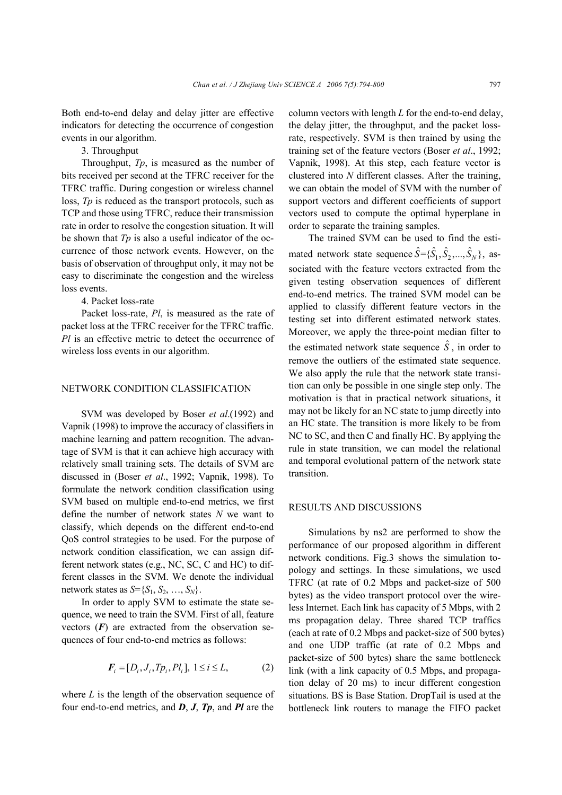Both end-to-end delay and delay jitter are effective indicators for detecting the occurrence of congestion events in our algorithm.

3. Throughput

Throughput, *Tp*, is measured as the number of bits received per second at the TFRC receiver for the TFRC traffic. During congestion or wireless channel loss, *Tp* is reduced as the transport protocols, such as TCP and those using TFRC, reduce their transmission rate in order to resolve the congestion situation. It will be shown that *Tp* is also a useful indicator of the occurrence of those network events. However, on the basis of observation of throughput only, it may not be easy to discriminate the congestion and the wireless loss events.

4. Packet loss-rate

Packet loss-rate, *Pl*, is measured as the rate of packet loss at the TFRC receiver for the TFRC traffic. *Pl* is an effective metric to detect the occurrence of wireless loss events in our algorithm.

#### NETWORK CONDITION CLASSIFICATION

SVM was developed by Boser *et al*.(1992) and Vapnik (1998) to improve the accuracy of classifiers in machine learning and pattern recognition. The advantage of SVM is that it can achieve high accuracy with relatively small training sets. The details of SVM are discussed in (Boser *et al*., 1992; Vapnik, 1998). To formulate the network condition classification using SVM based on multiple end-to-end metrics, we first define the number of network states *N* we want to classify, which depends on the different end-to-end QoS control strategies to be used. For the purpose of network condition classification, we can assign different network states (e.g., NC, SC, C and HC) to different classes in the SVM. We denote the individual network states as  $S = \{S_1, S_2, ..., S_N\}.$ 

In order to apply SVM to estimate the state sequence, we need to train the SVM. First of all, feature vectors  $(F)$  are extracted from the observation sequences of four end-to-end metrics as follows:

$$
F_i = [D_i, J_i, T p_i, P l_i], \ 1 \le i \le L,\tag{2}
$$

where *L* is the length of the observation sequence of four end-to-end metrics, and *D*, *J*, *Tp*, and *Pl* are the

column vectors with length *L* for the end-to-end delay, the delay jitter, the throughput, and the packet lossrate, respectively. SVM is then trained by using the training set of the feature vectors (Boser *et al*., 1992; Vapnik, 1998). At this step, each feature vector is clustered into *N* different classes. After the training, we can obtain the model of SVM with the number of support vectors and different coefficients of support vectors used to compute the optimal hyperplane in order to separate the training samples.

The trained SVM can be used to find the estimated network state sequence  $\hat{S} = {\hat{S}_1, \hat{S}_2, ..., \hat{S}_N}$ , associated with the feature vectors extracted from the given testing observation sequences of different end-to-end metrics. The trained SVM model can be applied to classify different feature vectors in the testing set into different estimated network states. Moreover, we apply the three-point median filter to the estimated network state sequence  $\hat{S}$ , in order to remove the outliers of the estimated state sequence. We also apply the rule that the network state transition can only be possible in one single step only. The motivation is that in practical network situations, it may not be likely for an NC state to jump directly into an HC state. The transition is more likely to be from NC to SC, and then C and finally HC. By applying the rule in state transition, we can model the relational and temporal evolutional pattern of the network state transition.

#### RESULTS AND DISCUSSIONS

Simulations by ns2 are performed to show the performance of our proposed algorithm in different network conditions. Fig.3 shows the simulation topology and settings. In these simulations, we used TFRC (at rate of 0.2 Mbps and packet-size of 500 bytes) as the video transport protocol over the wireless Internet. Each link has capacity of 5 Mbps, with 2 ms propagation delay. Three shared TCP traffics (each at rate of 0.2 Mbps and packet-size of 500 bytes) and one UDP traffic (at rate of 0.2 Mbps and packet-size of 500 bytes) share the same bottleneck link (with a link capacity of 0.5 Mbps, and propagation delay of 20 ms) to incur different congestion situations. BS is Base Station. DropTail is used at the bottleneck link routers to manage the FIFO packet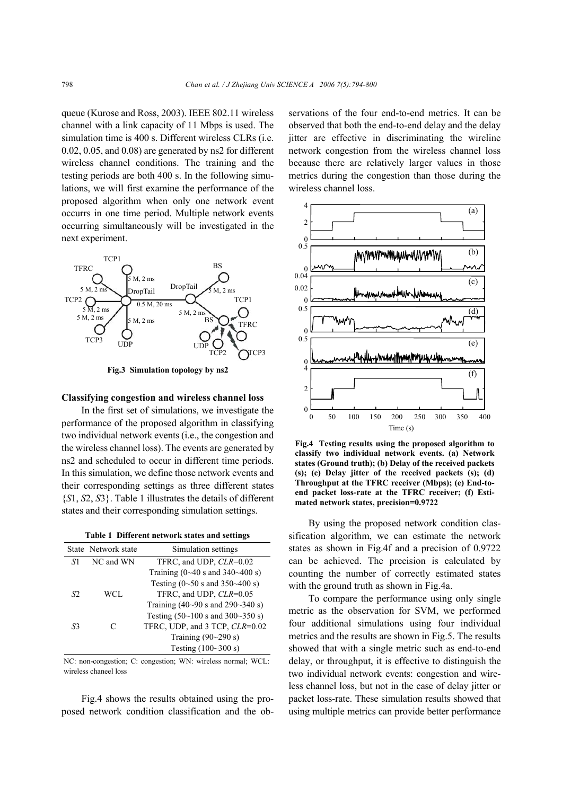queue (Kurose and Ross, 2003). IEEE 802.11 wireless channel with a link capacity of 11 Mbps is used. The simulation time is 400 s. Different wireless CLRs (i.e. 0.02, 0.05, and 0.08) are generated by ns2 for different wireless channel conditions. The training and the testing periods are both 400 s. In the following simulations, we will first examine the performance of the proposed algorithm when only one network event occurrs in one time period. Multiple network events occurring simultaneously will be investigated in the next experiment.



**Fig.3 Simulation topology by ns2** 

#### **Classifying congestion and wireless channel loss**

In the first set of simulations, we investigate the performance of the proposed algorithm in classifying two individual network events (i.e., the congestion and the wireless channel loss). The events are generated by ns2 and scheduled to occur in different time periods. In this simulation, we define those network events and their corresponding settings as three different states {*S*1, *S*2, *S*3}. Table 1 illustrates the details of different states and their corresponding simulation settings.

| Table 1 Different network states and settings |  |  |  |  |  |
|-----------------------------------------------|--|--|--|--|--|
|-----------------------------------------------|--|--|--|--|--|

|     | State Network state | Simulation settings                                          |
|-----|---------------------|--------------------------------------------------------------|
| .S1 | NC and WN           | TFRC, and UDP, CLR=0.02                                      |
|     |                     | Training $(0 \sim 40 \text{ s and } 340 \sim 400 \text{ s})$ |
|     |                     | Testing $(0-50 \text{ s and } 350-400 \text{ s})$            |
| S2  | WCL.                | TFRC, and UDP, CLR=0.05                                      |
|     |                     | Training $(40-90 s$ and $290-340 s)$                         |
|     |                     | Testing $(50-100 \text{ s and } 300-350 \text{ s})$          |
| S3  | C                   | TFRC, UDP, and 3 TCP, CLR=0.02                               |
|     |                     | Training $(90-290 s)$                                        |
|     |                     | Testing $(100 - 300 s)$                                      |

NC: non-congestion; C: congestion; WN: wireless normal; WCL: wireless chaneel loss

Fig.4 shows the results obtained using the proposed network condition classification and the observations of the four end-to-end metrics. It can be observed that both the end-to-end delay and the delay jitter are effective in discriminating the wireline network congestion from the wireless channel loss because there are relatively larger values in those metrics during the congestion than those during the wireless channel loss.



**Fig.4 Testing results using the proposed algorithm to classify two individual network events. (a) Network states (Ground truth); (b) Delay of the received packets (s); (c) Delay jitter of the received packets (s); (d) Throughput at the TFRC receiver (Mbps); (e) End-toend packet loss-rate at the TFRC receiver; (f) Estimated network states, precision=0.9722** 

By using the proposed network condition classification algorithm, we can estimate the network states as shown in Fig.4f and a precision of 0.9722 can be achieved. The precision is calculated by counting the number of correctly estimated states with the ground truth as shown in Fig.4a.

To compare the performance using only single metric as the observation for SVM, we performed four additional simulations using four individual metrics and the results are shown in Fig.5. The results showed that with a single metric such as end-to-end delay, or throughput, it is effective to distinguish the two individual network events: congestion and wireless channel loss, but not in the case of delay jitter or packet loss-rate. These simulation results showed that using multiple metrics can provide better performance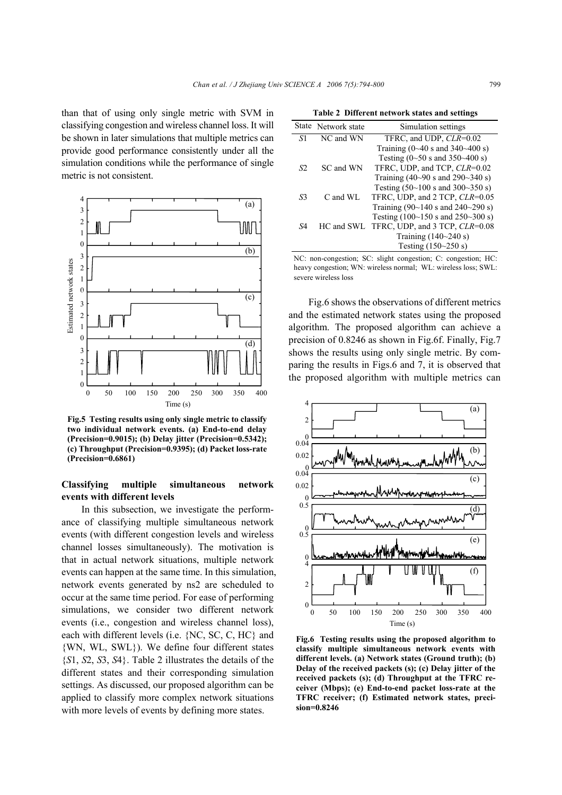than that of using only single metric with SVM in classifying congestion and wireless channel loss. It will be shown in later simulations that multiple metrics can provide good performance consistently under all the simulation conditions while the performance of single metric is not consistent.



**Fig.5 Testing results using only single metric to classify two individual network events. (a) End-to-end delay (Precision=0.9015); (b) Delay jitter (Precision=0.5342); (c) Throughput (Precision=0.9395); (d) Packet loss-rate (Precision=0.6861)** 

# **Classifying multiple simultaneous network events with different levels**

In this subsection, we investigate the performance of classifying multiple simultaneous network events (with different congestion levels and wireless channel losses simultaneously). The motivation is that in actual network situations, multiple network events can happen at the same time. In this simulation, network events generated by ns2 are scheduled to occur at the same time period. For ease of performing simulations, we consider two different network events (i.e., congestion and wireless channel loss), each with different levels (i.e. {NC, SC, C, HC} and {WN, WL, SWL}). We define four different states {*S*1, *S*2, *S*3, *S*4}. Table 2 illustrates the details of the different states and their corresponding simulation settings. As discussed, our proposed algorithm can be applied to classify more complex network situations with more levels of events by defining more states.

**Table 2 Different network states and settings** 

|    | State Network state | Simulation settings                                           |
|----|---------------------|---------------------------------------------------------------|
| S1 | NC and WN           | TFRC, and UDP, CLR=0.02                                       |
|    |                     | Training $(0 \sim 40 \text{ s and } 340 \sim 400 \text{ s})$  |
|    |                     | Testing $(0-50 \text{ s and } 350-400 \text{ s})$             |
| S2 | SC and WN           | TFRC, UDP, and TCP, CLR=0.02                                  |
|    |                     | Training $(40{\sim}90 \text{ s and } 290{\sim}340 \text{ s})$ |
|    |                     | Testing $(50-100 \text{ s and } 300-350 \text{ s})$           |
| S3 | C and WL            | TFRC, UDP, and 2 TCP, CLR=0.05                                |
|    |                     | Training $(90~140 \text{ s}$ and $240~290 \text{ s})$         |
|    |                     | Testing $(100~150 \text{ s and } 250~300 \text{ s})$          |
| S4 | HC and SWL          | TFRC, UDP, and 3 TCP, CLR=0.08                                |
|    |                     | Training $(140~240 s)$                                        |
|    |                     | Testing $(150 - 250 s)$                                       |

NC: non-congestion; SC: slight congestion; C: congestion; HC: heavy congestion; WN: wireless normal; WL: wireless loss; SWL: severe wireless loss

Fig.6 shows the observations of different metrics and the estimated network states using the proposed algorithm. The proposed algorithm can achieve a precision of 0.8246 as shown in Fig.6f. Finally, Fig.7 shows the results using only single metric. By comparing the results in Figs.6 and 7, it is observed that the proposed algorithm with multiple metrics can



**Fig.6 Testing results using the proposed algorithm to classify multiple simultaneous network events with different levels. (a) Network states (Ground truth); (b) Delay of the received packets (s); (c) Delay jitter of the received packets (s); (d) Throughput at the TFRC receiver (Mbps); (e) End-to-end packet loss-rate at the TFRC receiver; (f) Estimated network states, precision=0.8246**